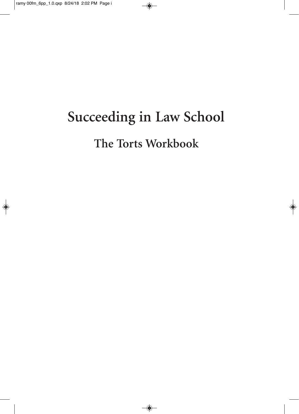# **Succeeding in Law School The Torts Workbook**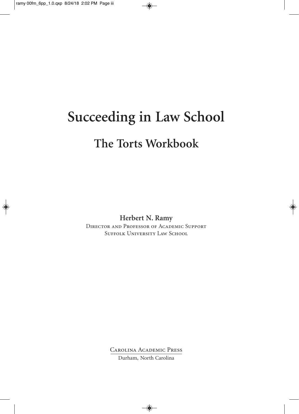# **Succeeding in Law School The Torts Workbook**

**Herbert N. Ramy**

Director and Professor of Academic Support SUFFOLK UNIVERSITY LAW SCHOOL

Carolina Academic Press

Durham, North Carolina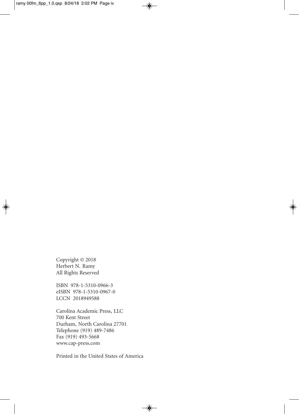Copyright © 2018 Herbert N. Ramy All Rights Reserved

ISBN 978-1-5310-0966-3 eISBN 978-1-5310-0967-0 LCCN 2018949588

Carolina Academic Press, LLC 700 Kent Street Durham, North Carolina 27701 Telephone (919) 489-7486 Fax (919) 493-5668 www.cap-press.com

Printed in the United States of America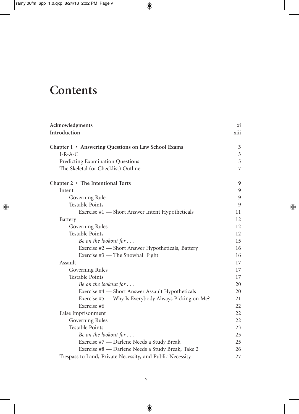## **Contents**

| Acknowledgments                                           | X1             |
|-----------------------------------------------------------|----------------|
| Introduction                                              | xiii           |
| Chapter 1 • Answering Questions on Law School Exams       | 3              |
| $I-R-A-C$                                                 | $\mathfrak{Z}$ |
| Predicting Examination Questions                          | 5              |
| The Skeletal (or Checklist) Outline                       | $\overline{7}$ |
| Chapter $2 \cdot$ The Intentional Torts                   | 9              |
| Intent                                                    | 9              |
| Governing Rule                                            | 9              |
| <b>Testable Points</b>                                    | 9              |
| Exercise #1 — Short Answer Intent Hypotheticals           | 11             |
| Battery                                                   | 12             |
| Governing Rules                                           | 12             |
| <b>Testable Points</b>                                    | 12             |
| Be on the lookout for                                     | 15             |
| Exercise #2 - Short Answer Hypotheticals, Battery         | 16             |
| Exercise #3 — The Snowball Fight                          | 16             |
| Assault                                                   | 17             |
| Governing Rules                                           | 17             |
| <b>Testable Points</b>                                    | 17             |
| Be on the lookout for                                     | 20             |
| Exercise #4 - Short Answer Assault Hypotheticals          | 20             |
| Exercise #5 — Why Is Everybody Always Picking on Me?      | 21             |
| Exercise #6                                               | 22             |
| False Imprisonment                                        | 22             |
| Governing Rules                                           | 22             |
| <b>Testable Points</b>                                    | 23             |
| Be on the lookout for                                     | 25             |
| Exercise #7 - Darlene Needs a Study Break                 | 25             |
| Exercise #8 - Darlene Needs a Study Break, Take 2         | 26             |
| Trespass to Land, Private Necessity, and Public Necessity | 27             |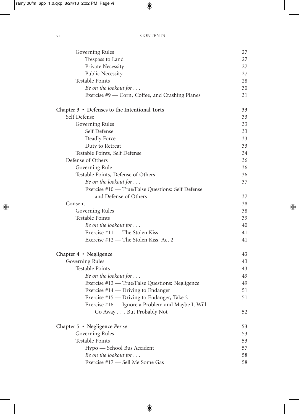| Governing Rules                                   | 27 |
|---------------------------------------------------|----|
| Trespass to Land                                  | 27 |
| Private Necessity                                 | 27 |
| <b>Public Necessity</b>                           | 27 |
| <b>Testable Points</b>                            | 28 |
| Be on the lookout for                             | 30 |
| Exercise #9 — Corn, Coffee, and Crashing Planes   | 31 |
| Chapter 3 • Defenses to the Intentional Torts     | 33 |
| Self Defense                                      | 33 |
| Governing Rules                                   | 33 |
| Self Defense                                      | 33 |
| Deadly Force                                      | 33 |
| Duty to Retreat                                   | 33 |
| Testable Points, Self Defense                     | 34 |
| Defense of Others                                 | 36 |
| Governing Rule                                    | 36 |
| Testable Points, Defense of Others                | 36 |
| Be on the lookout for                             | 37 |
| Exercise #10 - True/False Questions: Self Defense |    |
| and Defense of Others                             | 37 |
| Consent                                           | 38 |
| Governing Rules                                   | 38 |
| <b>Testable Points</b>                            | 39 |
| Be on the lookout for                             | 40 |
| Exercise #11 — The Stolen Kiss                    | 41 |
| Exercise #12 - The Stolen Kiss, Act 2             | 41 |
| Chapter $4 \cdot$ Negligence                      | 43 |
| Governing Rules                                   | 43 |
| <b>Testable Points</b>                            | 43 |
| Be on the lookout for                             | 49 |
| Exercise #13 - True/False Questions: Negligence   | 49 |
| Exercise $#14$ — Driving to Endanger              | 51 |
| Exercise #15 — Driving to Endanger, Take 2        | 51 |
| Exercise #16 - Ignore a Problem and Maybe It Will |    |
| Go Away But Probably Not                          | 52 |
| Chapter 5 • Negligence Per se                     | 53 |
| Governing Rules                                   | 53 |
| <b>Testable Points</b>                            | 53 |
| Hypo - School Bus Accident                        | 57 |
| Be on the lookout for                             | 58 |
| Exercise #17 - Sell Me Some Gas                   | 58 |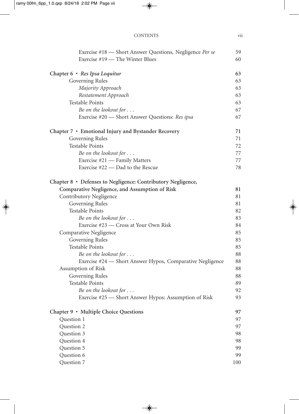| Exercise #18 — Short Answer Questions, Negligence Per se     | 59  |
|--------------------------------------------------------------|-----|
| Exercise #19 - The Winter Blues                              | 60  |
| Chapter 6 • Res Ipsa Loquitur                                | 63  |
| Governing Rules                                              | 63  |
| Majority Approach                                            | 63  |
| Restatement Approach                                         | 63  |
| <b>Testable Points</b>                                       | 63  |
| Be on the lookout for                                        | 67  |
| Exercise #20 - Short Answer Questions: Res ipsa              | 67  |
| Chapter 7 • Emotional Injury and Bystander Recovery          | 71  |
| Governing Rules                                              | 71  |
| <b>Testable Points</b>                                       | 72  |
| Be on the lookout for $\dots$                                | 77  |
| Exercise #21 — Family Matters                                | 77  |
| Exercise #22 — Dad to the Rescue                             | 78  |
| Chapter 8 • Defenses to Negligence: Contributory Negligence, |     |
| Comparative Negligence, and Assumption of Risk               | 81  |
| Contributory Negligence                                      | 81  |
| Governing Rules                                              | 81  |
| <b>Testable Points</b>                                       | 82  |
| Be on the lookout for                                        | 83  |
| Exercise #23 – Cross at Your Own Risk                        | 84  |
| Comparative Negligence                                       | 85  |
| Governing Rules                                              | 85  |
| <b>Testable Points</b>                                       | 85  |
| Be on the lookout for $\dots$                                | 88  |
| Exercise #24 — Short Answer Hypos, Comparative Negligence    | 88  |
| Assumption of Risk                                           | 88  |
| Governing Rules                                              | 88  |
| <b>Testable Points</b>                                       | 89  |
| Be on the lookout for                                        | 92  |
| Exercise #25 — Short Answer Hypos: Assumption of Risk        | 93  |
| Chapter 9 • Multiple Choice Questions                        | 97  |
| Question 1                                                   | 97  |
| Question 2                                                   | 97  |
| Question 3                                                   | 98  |
| Question 4                                                   | 98  |
| Question 5                                                   | 99  |
| Question 6                                                   | 99  |
| Question 7                                                   | 100 |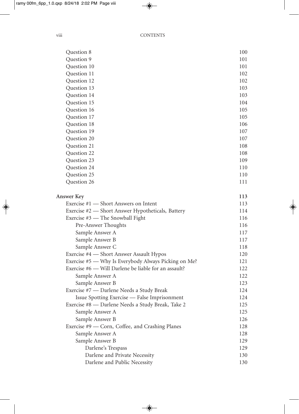| Question 8                                           | 100 |
|------------------------------------------------------|-----|
| Question 9                                           | 101 |
| Question 10                                          | 101 |
| Question 11                                          | 102 |
| Question 12                                          | 102 |
| Question 13                                          | 103 |
| Question 14                                          | 103 |
| Question 15                                          | 104 |
| Question 16                                          | 105 |
| Question 17                                          | 105 |
| Question 18                                          | 106 |
| Question 19                                          | 107 |
| Question 20                                          | 107 |
| Question 21                                          | 108 |
| Question 22                                          | 108 |
| Question 23                                          | 109 |
| Question 24                                          | 110 |
| Question 25                                          | 110 |
| Question 26                                          | 111 |
|                                                      |     |
| <b>Answer Key</b>                                    | 113 |
| Exercise #1 — Short Answers on Intent                | 113 |
| Exercise #2 — Short Answer Hypotheticals, Battery    | 114 |
| Exercise #3 — The Snowball Fight                     | 116 |
| Pre-Answer Thoughts                                  | 116 |
| Sample Answer A                                      | 117 |
| Sample Answer B                                      | 117 |
| Sample Answer C                                      | 118 |
| Exercise #4 - Short Answer Assault Hypos             | 120 |
| Exercise #5 — Why Is Everybody Always Picking on Me? | 121 |
| Exercise #6 - Will Darlene be liable for an assault? | 122 |
| Sample Answer A                                      | 122 |
| Sample Answer B                                      | 123 |
| Exercise #7 - Darlene Needs a Study Break            | 124 |
| Issue Spotting Exercise - False Imprisonment         | 124 |
| Exercise #8 - Darlene Needs a Study Break, Take 2    | 125 |
| Sample Answer A                                      | 125 |
| Sample Answer B                                      | 126 |
| Exercise #9 — Corn, Coffee, and Crashing Planes      | 128 |
| Sample Answer A                                      | 128 |
| Sample Answer B                                      | 129 |
| Darlene's Trespass                                   | 129 |
| Darlene and Private Necessity                        | 130 |
| Darlene and Public Necessity                         | 130 |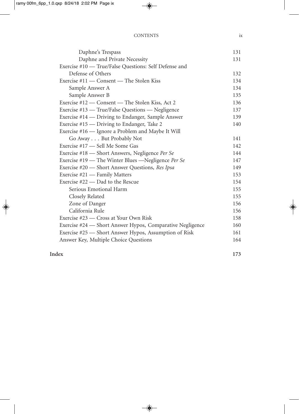| Daphne's Trespass                                         | 131 |
|-----------------------------------------------------------|-----|
| Daphne and Private Necessity                              | 131 |
| Exercise #10 — True/False Questions: Self Defense and     |     |
| Defense of Others                                         | 132 |
| Exercise #11 — Consent — The Stolen Kiss                  | 134 |
| Sample Answer A                                           | 134 |
| Sample Answer B                                           | 135 |
| Exercise #12 – Consent – The Stolen Kiss, Act 2           | 136 |
| Exercise #13 — True/False Questions — Negligence          | 137 |
| Exercise #14 — Driving to Endanger, Sample Answer         | 139 |
| Exercise #15 — Driving to Endanger, Take 2                | 140 |
| Exercise #16 — Ignore a Problem and Maybe It Will         |     |
| Go Away But Probably Not                                  | 141 |
| Exercise #17 - Sell Me Some Gas                           | 142 |
| Exercise #18 — Short Answers, Negligence Per Se           | 144 |
| Exercise #19 — The Winter Blues —Negligence Per Se        | 147 |
| Exercise #20 — Short Answer Questions, Res Ipsa           | 149 |
| Exercise #21 — Family Matters                             | 153 |
| Exercise #22 — Dad to the Rescue                          | 154 |
| Serious Emotional Harm                                    | 155 |
| Closely Related                                           | 155 |
| Zone of Danger                                            | 156 |
| California Rule                                           | 156 |
| Exercise #23 — Cross at Your Own Risk                     | 158 |
| Exercise #24 — Short Answer Hypos, Comparative Negligence | 160 |
| Exercise #25 — Short Answer Hypos, Assumption of Risk     | 161 |
| Answer Key, Multiple Choice Questions                     | 164 |
|                                                           |     |

### **Index 173**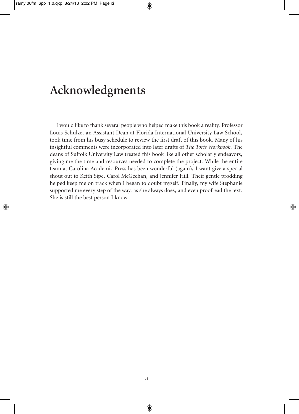## **Acknowledgments**

I would like to thank several people who helped make this book a reality. Professor Louis Schulze, an Assistant Dean at Florida International University Law School, took time from his busy schedule to review the first draft of this book. Many of his insightful comments were incorporated into later drafts of *The Torts Workbook*. The deans of Suffolk University Law treated this book like all other scholarly endeavors, giving me the time and resources needed to complete the project. While the entire team at Carolina Academic Press has been wonderful (again), I want give a special shout out to Keith Sipe, Carol McGeehan, and Jennifer Hill. Their gentle prodding helped keep me on track when I began to doubt myself. Finally, my wife Stephanie supported me every step of the way, as she always does, and even proofread the text. She is still the best person I know.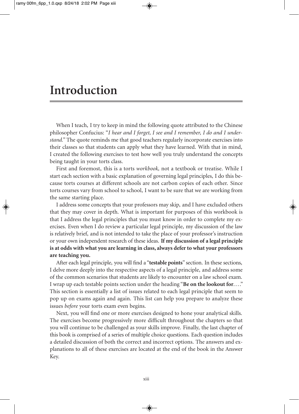## **Introduction**

When I teach, I try to keep in mind the following quote attributed to the Chinese philosopher Confucius: "*I hear and I forget, I see and I remember, I do and I understand."* The quote reminds me that good teachers regularly incorporate exercises into their classes so that students can apply what they have learned. With that in mind, I created the following exercises to test how well you truly understand the concepts being taught in your torts class.

First and foremost, this is a torts *workbook,* not a textbook or treatise. While I start each section with a basic explanation of governing legal principles, I do this because torts courses at different schools are not carbon copies of each other. Since torts courses vary from school to school, I want to be sure that we are working from the same starting place.

I address some concepts that your professors may skip, and I have excluded others that they may cover in depth. What is important for purposes of this workbook is that I address the legal principles that you must know in order to complete my exercises. Even when I do review a particular legal principle, my discussion of the law is relatively brief, and is not intended to take the place of your professor's instruction or your own independent research of these ideas. **If my discussion of a legal principle is at odds with what you are learning in class, always deferto what your professors are teaching you.**

After each legal principle, you will find a "**testable points**" section. In these sections, I delve more deeply into the respective aspects of a legal principle, and address some of the common scenarios that students are likely to encounter on a law school exam. I wrap up each testable points section under the heading "**Be on the lookout for**... ." This section is essentially a list of issues related to each legal principle that seem to pop up on exams again and again. This list can help you prepare to analyze these issues *before* your torts exam even begins.

Next, you will find one or more exercises designed to hone your analytical skills. The exercises become progressively more difficult throughout the chapters so that you will continue to be challenged as your skills improve. Finally, the last chapter of this book is comprised of a series of multiple choice questions. Each question includes a detailed discussion of both the correct and incorrect options. The answers and explanations to all of these exercises are located at the end of the book in the Answer Key.